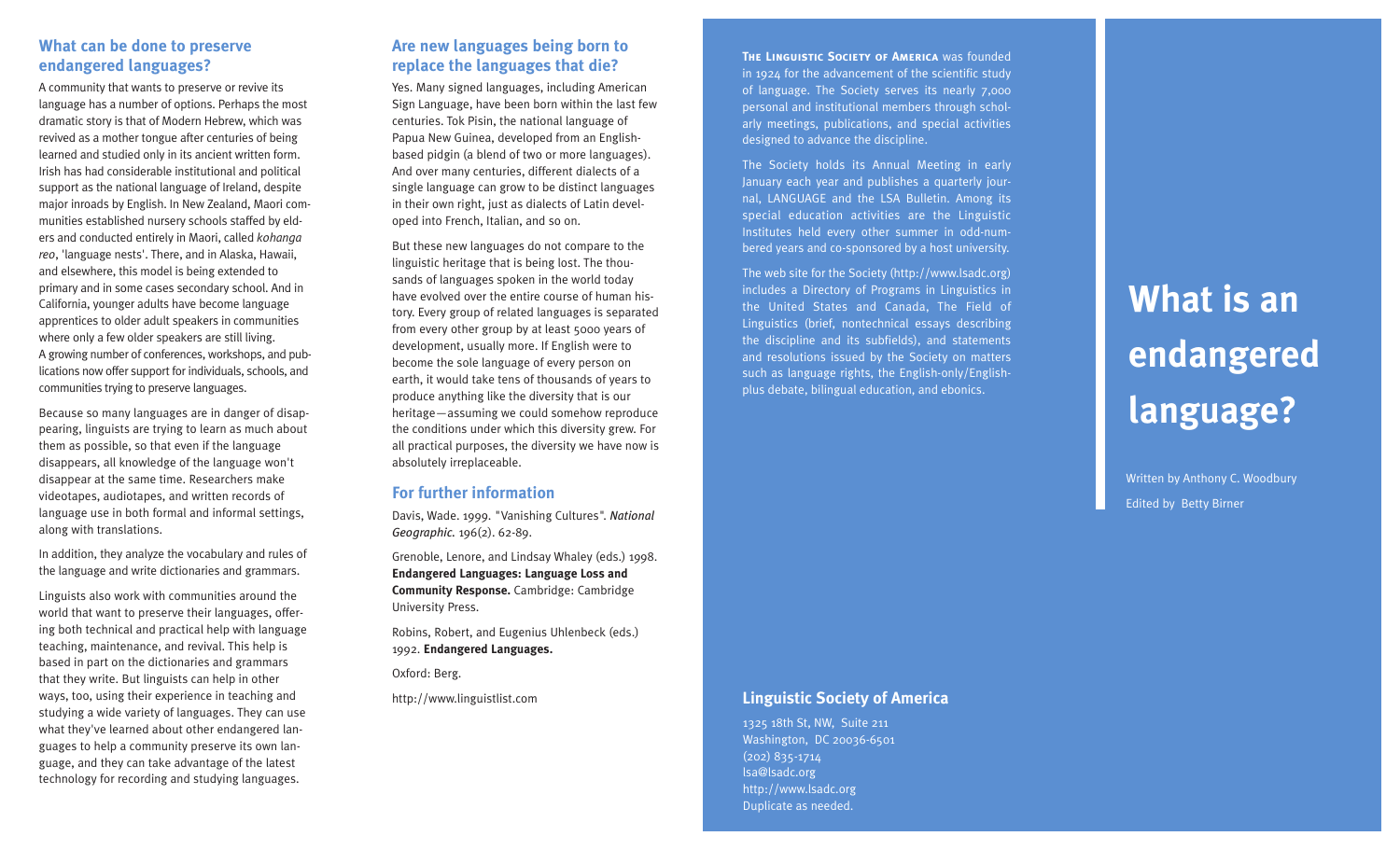#### **What can be done to preserve endangered languages?**

A community that wants to preserve or revive its language has a number of options. Perhaps the most dramatic story is that of Modern Hebrew, which was revived as a mother tongue after centuries of being learned and studied only in its ancient written form. Irish has had considerable institutional and political support as the national language of Ireland, despite major inroads by English. In New Zealand, Maori communities established nursery schools staffed by elders and conducted entirely in Maori, called *kohanga reo*, 'language nests'. There, and in Alaska, Hawaii, and elsewhere, this model is being extended to primary and in some cases secondary school. And in California, younger adults have become language apprentices to older adult speakers in communities where only a few older speakers are still living. A growing number of conferences, workshops, and publications now offer support for individuals, schools, and communities trying to preserve languages.

Because so many languages are in danger of disappearing, linguists are trying to learn as much about them as possible, so that even if the language disappears, all knowledge of the language won't disappear at the same time. Researchers make videotapes, audiotapes, and written records of language use in both formal and informal settings, along with translations.

In addition, they analyze the vocabulary and rules of the language and write dictionaries and grammars.

Linguists also work with communities around the world that want to preserve their languages, offering both technical and practical help with language teaching, maintenance, and revival. This help is based in part on the dictionaries and grammars that they write. But linguists can help in other ways, too, using their experience in teaching and studying a wide variety of languages. They can use what they've learned about other endangered languages to help a community preserve its own language, and they can take advantage of the latest technology for recording and studying languages.

## **Are new languages being born to replace the languages that die?**

Yes. Many signed languages, including American Sign Language, have been born within the last few centuries. Tok Pisin, the national language of Papua New Guinea, developed from an Englishbased pidgin (a blend of two or more languages). And over many centuries, different dialects of a single language can grow to be distinct languages in their own right, just as dialects of Latin developed into French, Italian, and so on.

But these new languages do not compare to the linguistic heritage that is being lost. The thousands of languages spoken in the world today have evolved over the entire course of human history. Every group of related languages is separated from every other group by at least 5000 years of development, usually more. If English were to become the sole language of every person on earth, it would take tens of thousands of years to produce anything like the diversity that is our heritage—assuming we could somehow reproduce the conditions under which this diversity grew. For all practical purposes, the diversity we have now is absolutely irreplaceable.

#### **For further information**

Davis, Wade. 1999. "Vanishing Cultures". *National Geographic.* 196(2). 62-89.

Grenoble, Lenore, and Lindsay Whaley (eds.) 1998. **Endangered Languages: Language Loss and Community Response.** Cambridge: Cambridge University Press.

Robins, Robert, and Eugenius Uhlenbeck (eds.) 1992. **Endangered Languages.**

Oxford: Berg.

http://www.linguistlist.com

**THE LINGUISTIC SOCIETY OF AMERICA** Was founded in 1924 for the advancement of the scientific study of language. The Society serves its nearly 7,000 personal and institutional members through scholarly meetings, publications, and special activities designed to advance the discipline.

The Society holds its Annual Meeting in early January each year and publishes a quarterly journal, LANGUAGE and the LSA Bulletin. Among its special education activities are the Linguistic Institutes held every other summer in odd-numbered years and co-sponsored by a host university.

The web site for the Society (http://www.lsadc.org) includes a Directory of Programs in Linguistics in the United States and Canada, The Field of Linguistics (brief, nontechnical essays describing the discipline and its subfields), and statements and resolutions issued by the Society on matters such as language rights, the English-only/Englishplus debate, bilingual education, and ebonics.

# **What is an endangered language?**

Written by Anthony C. Woodbury Edited by Betty Birner

### **Linguistic Society of America**

1325 18th St, NW, Suite 211 Washington, DC 20036-6501 (202) 835-1714 lsa@lsadc.org http://www.lsadc.org Duplicate as needed.